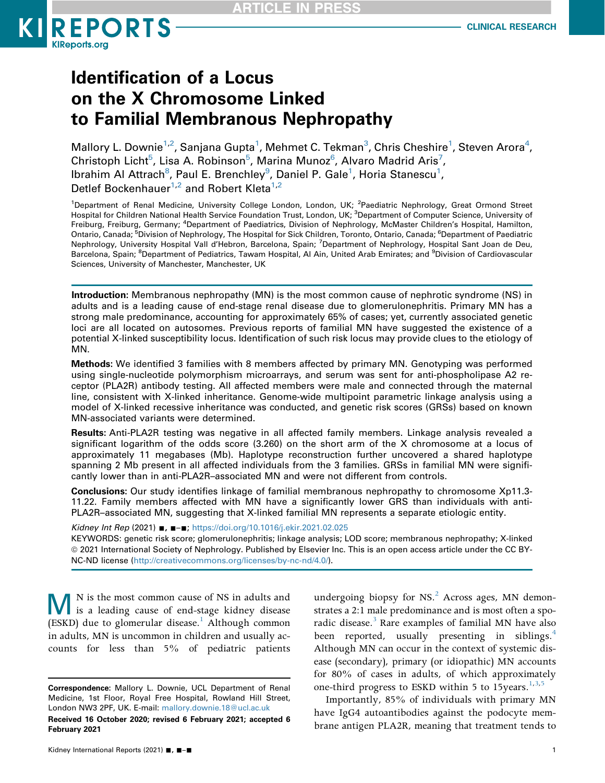

# Identification of a Locus on the X Chromosome Linked to Familial Membranous Nephropathy

Mallory L. Downie $^{1,2}$  $^{1,2}$  $^{1,2}$ , Sanjana Gupta $^1$ , Mehmet C. Tekman $^3$ , Chris Cheshire $^1$ , Steven Arora $^4$ , Christoph Licht<sup>[5](#page-0-3)</sup>, Lisa A. Robinson<sup>5</sup>, Marina Munoz<sup>6</sup>, Alvaro Madrid Aris<sup>[7](#page-0-4)</sup>, lbrahim Al Attrach $^8$ , Paul E. Brenchley $^9$ , Daniel P. Gale $^1$  $^1$ , Horia Stanescu $^1$ , Detlef Bockenhauer<sup>[1,2](#page-0-0)</sup> and Robert Kleta<sup>1,2</sup>

<span id="page-0-4"></span><span id="page-0-3"></span><span id="page-0-2"></span><span id="page-0-1"></span><span id="page-0-0"></span><sup>1</sup>Department of Renal Medicine, University College London, London, UK; <sup>2</sup>Paediatric Nephrology, Great Ormond Street Hospital for Children National Health Service Foundation Trust, London, UK; <sup>3</sup>Department of Computer Science, University of Freiburg, Freiburg, Germany; <sup>4</sup>Department of Paediatrics, Division of Nephrology, McMaster Children's Hospital, Hamilton, Ontario, Canada; <sup>5</sup>Division of Nephrology, The Hospital for Sick Children, Toronto, Ontario, Canada; <sup>6</sup>Department of Paediatric Nephrology, University Hospital Vall d'Hebron, Barcelona, Spain; <sup>7</sup>Department of Nephrology, Hospital Sant Joan de Deu, Barcelona, Spain; <sup>8</sup>Department of Pediatrics, Tawam Hospital, Al Ain, United Arab Emirates; and <sup>9</sup>Division of Cardiovascular Sciences, University of Manchester, Manchester, UK

<span id="page-0-5"></span>Introduction: Membranous nephropathy (MN) is the most common cause of nephrotic syndrome (NS) in adults and is a leading cause of end-stage renal disease due to glomerulonephritis. Primary MN has a strong male predominance, accounting for approximately 65% of cases; yet, currently associated genetic loci are all located on autosomes. Previous reports of familial MN have suggested the existence of a potential X-linked susceptibility locus. Identification of such risk locus may provide clues to the etiology of MN.

Methods: We identified 3 families with 8 members affected by primary MN. Genotyping was performed using single-nucleotide polymorphism microarrays, and serum was sent for anti-phospholipase A2 receptor (PLA2R) antibody testing. All affected members were male and connected through the maternal line, consistent with X-linked inheritance. Genome-wide multipoint parametric linkage analysis using a model of X-linked recessive inheritance was conducted, and genetic risk scores (GRSs) based on known MN-associated variants were determined.

Results: Anti-PLA2R testing was negative in all affected family members. Linkage analysis revealed a significant logarithm of the odds score (3.260) on the short arm of the X chromosome at a locus of approximately 11 megabases (Mb). Haplotype reconstruction further uncovered a shared haplotype spanning 2 Mb present in all affected individuals from the 3 families. GRSs in familial MN were significantly lower than in anti-PLA2R–associated MN and were not different from controls.

Conclusions: Our study identifies linkage of familial membranous nephropathy to chromosome Xp11.3- 11.22. Family members affected with MN have a significantly lower GRS than individuals with anti-PLA2R–associated MN, suggesting that X-linked familial MN represents a separate etiologic entity.

Kidney Int Rep (2021) ■, ■-■; <https://doi.org/10.1016/j.ekir.2021.02.025>

KEYWORDS: genetic risk score; glomerulonephritis; linkage analysis; LOD score; membranous nephropathy; X-linked ª 2021 International Society of Nephrology. Published by Elsevier Inc. This is an open access article under the CC BY-NC-ND license [\(http://creativecommons.org/licenses/by-nc-nd/4.0/](http://creativecommons.org/licenses/by-nc-nd/4.0/)).

MN is the most common cause of NS in adults and is a leading cause of end-stage kidney disease (ESKD) due to glomerular disease.<sup>1</sup> Although common in adults, MN is uncommon in children and usually accounts for less than 5% of pediatric patients

undergoing biopsy for  $NS<sup>2</sup>$  Across ages, MN demonstrates a 2:1 male predominance and is most often a sporadic disease.<sup>3</sup> Rare examples of familial MN have also been reported, usually presenting in siblings.<sup>[4](#page-6-3)</sup> Although MN can occur in the context of systemic disease (secondary), primary (or idiopathic) MN accounts for 80% of cases in adults, of which approximately one-third progress to ESKD within 5 to [1](#page-6-0)5 years.  $1,3,5$  $1,3,5$  $1,3,5$ 

<span id="page-0-6"></span>Importantly, 85% of individuals with primary MN have IgG4 autoantibodies against the podocyte membrane antigen PLA2R, meaning that treatment tends to

Correspondence: Mallory L. Downie, UCL Department of Renal Medicine, 1st Floor, Royal Free Hospital, Rowland Hill Street, London NW3 2PF, UK. E-mail: [mallory.downie.18@ucl.ac.uk](mailto:mallory.downie.18@ucl.ac.uk)

Received 16 October 2020; revised 6 February 2021; accepted 6 February 2021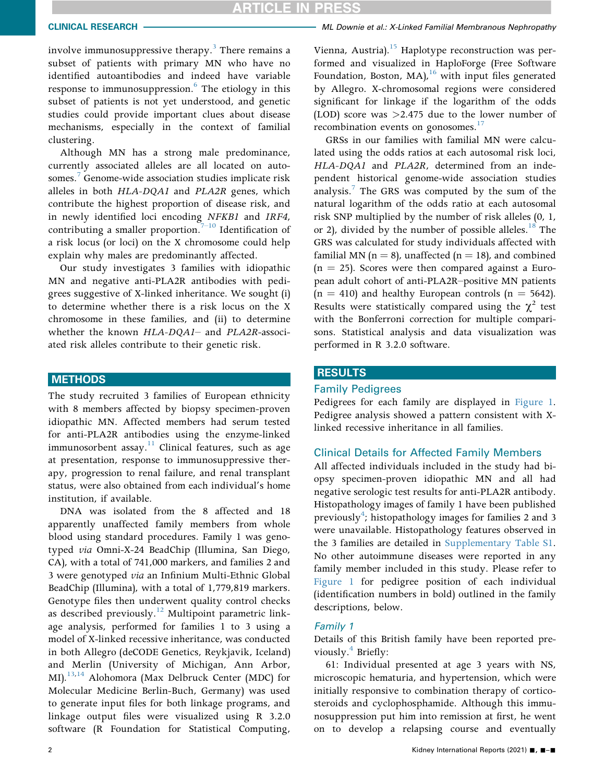# RTICLE IN PRESS

involve immunosuppressive therapy.<sup>[3](#page-6-2)</sup> There remains a subset of patients with primary MN who have no identified autoantibodies and indeed have variable response to immunosuppression.<sup>6</sup> The etiology in this subset of patients is not yet understood, and genetic studies could provide important clues about disease mechanisms, especially in the context of familial clustering.

Although MN has a strong male predominance, currently associated alleles are all located on auto-somes.<sup>[7](#page-6-6)</sup> Genome-wide association studies implicate risk alleles in both HLA-DQA1 and PLA2R genes, which contribute the highest proportion of disease risk, and in newly identified loci encoding NFKB1 and IRF4, contributing a smaller proportion.<sup>7-[10](#page-6-6)</sup> Identification of a risk locus (or loci) on the X chromosome could help explain why males are predominantly affected.

Our study investigates 3 families with idiopathic MN and negative anti-PLA2R antibodies with pedigrees suggestive of X-linked inheritance. We sought (i) to determine whether there is a risk locus on the X chromosome in these families, and (ii) to determine whether the known HLA-DQA1– and PLA2R-associated risk alleles contribute to their genetic risk.

# **METHODS**

The study recruited 3 families of European ethnicity with 8 members affected by biopsy specimen-proven idiopathic MN. Affected members had serum tested for anti-PLA2R antibodies using the enzyme-linked immunosorbent assay.<sup>11</sup> Clinical features, such as age at presentation, response to immunosuppressive therapy, progression to renal failure, and renal transplant status, were also obtained from each individual's home institution, if available.

DNA was isolated from the 8 affected and 18 apparently unaffected family members from whole blood using standard procedures. Family 1 was genotyped via Omni-X-24 BeadChip (Illumina, San Diego, CA), with a total of 741,000 markers, and families 2 and 3 were genotyped via an Infinium Multi-Ethnic Global BeadChip (Illumina), with a total of 1,779,819 markers. Genotype files then underwent quality control checks as described previously.<sup>[12](#page-6-8)</sup> Multipoint parametric linkage analysis, performed for families 1 to 3 using a model of X-linked recessive inheritance, was conducted in both Allegro (deCODE Genetics, Reykjavik, Iceland) and Merlin (University of Michigan, Ann Arbor, MI).<sup>[13](#page-6-9),[14](#page-6-10)</sup> Alohomora (Max Delbruck Center (MDC) for Molecular Medicine Berlin-Buch, Germany) was used to generate input files for both linkage programs, and linkage output files were visualized using R 3.2.0 software (R Foundation for Statistical Computing,

# CLINICAL RESEARCH **WE DOWN THE SEARCH MEMORY OF ALL DOWNIE** et al.: X-Linked Familial Membranous Nephropathy

Vienna, Austria).<sup>15</sup> Haplotype reconstruction was performed and visualized in HaploForge (Free Software Foundation, Boston, MA), $^{16}$  with input files generated by Allegro. X-chromosomal regions were considered significant for linkage if the logarithm of the odds (LOD) score was  $>2.475$  due to the lower number of recombination events on gonosomes.<sup>[17](#page-6-13)</sup>

GRSs in our families with familial MN were calculated using the odds ratios at each autosomal risk loci, HLA-DQA1 and PLA2R, determined from an independent historical genome-wide association studies analysis.<sup>[7](#page-6-6)</sup> The GRS was computed by the sum of the natural logarithm of the odds ratio at each autosomal risk SNP multiplied by the number of risk alleles (0, 1, or 2), divided by the number of possible alleles.<sup>[18](#page-6-14)</sup> The GRS was calculated for study individuals affected with familial MN ( $n = 8$ ), unaffected ( $n = 18$ ), and combined  $(n = 25)$ . Scores were then compared against a European adult cohort of anti-PLA2R–positive MN patients  $(n = 410)$  and healthy European controls  $(n = 5642)$ . Results were statistically compared using the  $\chi^2$  test with the Bonferroni correction for multiple comparisons. Statistical analysis and data visualization was performed in R 3.2.0 software.

### RESULTS

#### Family Pedigrees

Pedigrees for each family are displayed in [Figure 1.](#page-2-0) Pedigree analysis showed a pattern consistent with Xlinked recessive inheritance in all families.

#### Clinical Details for Affected Family Members

All affected individuals included in the study had biopsy specimen-proven idiopathic MN and all had negative serologic test results for anti-PLA2R antibody. Histopathology images of family 1 have been published previously<sup>4</sup>; histopathology images for families 2 and 3 were unavailable. Histopathology features observed in the 3 families are detailed in [Supplementary Table S1.](#page-0-6) No other autoimmune diseases were reported in any family member included in this study. Please refer to [Figure 1](#page-2-0) for pedigree position of each individual (identification numbers in bold) outlined in the family descriptions, below.

#### Family 1

Details of this British family have been reported pre-viously.<sup>[4](#page-6-3)</sup> Briefly:

61: Individual presented at age 3 years with NS, microscopic hematuria, and hypertension, which were initially responsive to combination therapy of corticosteroids and cyclophosphamide. Although this immunosuppression put him into remission at first, he went on to develop a relapsing course and eventually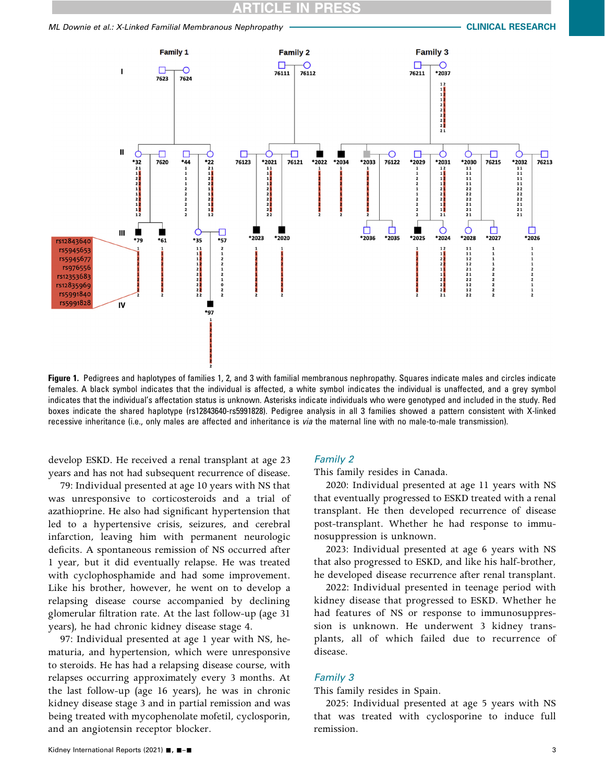# **ICLE IN PRE**

### <span id="page-2-0"></span>ML Downie et al.: X-Linked Familial Membranous Nephropathy CLINICAL RESEARCH



Figure 1. Pedigrees and haplotypes of families 1, 2, and 3 with familial membranous nephropathy. Squares indicate males and circles indicate females. A black symbol indicates that the individual is affected, a white symbol indicates the individual is unaffected, and a grey symbol indicates that the individual's affectation status is unknown. Asterisks indicate individuals who were genotyped and included in the study. Red boxes indicate the shared haplotype (rs12843640-rs5991828). Pedigree analysis in all 3 families showed a pattern consistent with X-linked recessive inheritance (i.e., only males are affected and inheritance is via the maternal line with no male-to-male transmission).

develop ESKD. He received a renal transplant at age 23 years and has not had subsequent recurrence of disease.

79: Individual presented at age 10 years with NS that was unresponsive to corticosteroids and a trial of azathioprine. He also had significant hypertension that led to a hypertensive crisis, seizures, and cerebral infarction, leaving him with permanent neurologic deficits. A spontaneous remission of NS occurred after 1 year, but it did eventually relapse. He was treated with cyclophosphamide and had some improvement. Like his brother, however, he went on to develop a relapsing disease course accompanied by declining glomerular filtration rate. At the last follow-up (age 31 years), he had chronic kidney disease stage 4.

97: Individual presented at age 1 year with NS, hematuria, and hypertension, which were unresponsive to steroids. He has had a relapsing disease course, with relapses occurring approximately every 3 months. At the last follow-up (age 16 years), he was in chronic kidney disease stage 3 and in partial remission and was being treated with mycophenolate mofetil, cyclosporin, and an angiotensin receptor blocker.

### Family 2

This family resides in Canada.

2020: Individual presented at age 11 years with NS that eventually progressed to ESKD treated with a renal transplant. He then developed recurrence of disease post-transplant. Whether he had response to immunosuppression is unknown.

2023: Individual presented at age 6 years with NS that also progressed to ESKD, and like his half-brother, he developed disease recurrence after renal transplant.

2022: Individual presented in teenage period with kidney disease that progressed to ESKD. Whether he had features of NS or response to immunosuppression is unknown. He underwent 3 kidney transplants, all of which failed due to recurrence of disease.

#### Family 3

This family resides in Spain.

2025: Individual presented at age 5 years with NS that was treated with cyclosporine to induce full remission.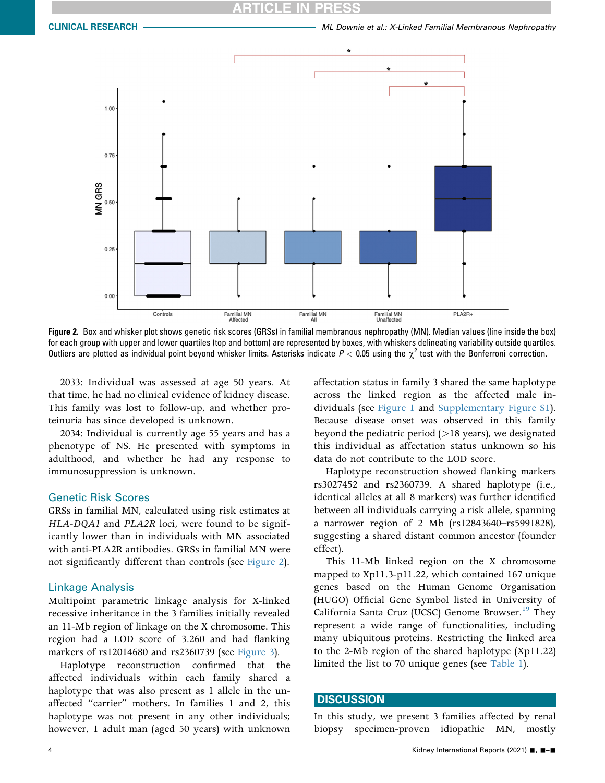# ICI E

<span id="page-3-0"></span>

Figure 2. Box and whisker plot shows genetic risk scores (GRSs) in familial membranous nephropathy (MN). Median values (line inside the box) for each group with upper and lower quartiles (top and bottom) are represented by boxes, with whiskers delineating variability outside quartiles. Outliers are plotted as individual point beyond whisker limits. Asterisks indicate  $P < 0.05$  using the  $\chi^2$  test with the Bonferroni correction.

2033: Individual was assessed at age 50 years. At that time, he had no clinical evidence of kidney disease. This family was lost to follow-up, and whether proteinuria has since developed is unknown.

2034: Individual is currently age 55 years and has a phenotype of NS. He presented with symptoms in adulthood, and whether he had any response to immunosuppression is unknown.

#### Genetic Risk Scores

GRSs in familial MN, calculated using risk estimates at HLA-DQA1 and PLA2R loci, were found to be significantly lower than in individuals with MN associated with anti-PLA2R antibodies. GRSs in familial MN were not significantly different than controls (see [Figure 2](#page-3-0)).

### Linkage Analysis

Multipoint parametric linkage analysis for X-linked recessive inheritance in the 3 families initially revealed an 11-Mb region of linkage on the X chromosome. This region had a LOD score of 3.260 and had flanking markers of rs12014680 and rs2360739 (see [Figure 3\)](#page-4-0).

Haplotype reconstruction confirmed that the affected individuals within each family shared a haplotype that was also present as 1 allele in the unaffected "carrier" mothers. In families 1 and 2, this haplotype was not present in any other individuals; however, 1 adult man (aged 50 years) with unknown affectation status in family 3 shared the same haplotype across the linked region as the affected male individuals (see [Figure 1](#page-2-0) and [Supplementary Figure S1\)](#page-0-6). Because disease onset was observed in this family beyond the pediatric period  $(>18$  years), we designated this individual as affectation status unknown so his data do not contribute to the LOD score.

Haplotype reconstruction showed flanking markers rs3027452 and rs2360739. A shared haplotype (i.e., identical alleles at all 8 markers) was further identified between all individuals carrying a risk allele, spanning a narrower region of 2 Mb (rs12843640–rs5991828), suggesting a shared distant common ancestor (founder effect).

This 11-Mb linked region on the X chromosome mapped to Xp11.3-p11.22, which contained 167 unique genes based on the Human Genome Organisation (HUGO) Official Gene Symbol listed in University of California Santa Cruz (UCSC) Genome Browser.<sup>19</sup> They represent a wide range of functionalities, including many ubiquitous proteins. Restricting the linked area to the 2-Mb region of the shared haplotype (Xp11.22) limited the list to 70 unique genes (see [Table 1\)](#page-4-1).

#### **DISCUSSION**

In this study, we present 3 families affected by renal biopsy specimen-proven idiopathic MN, mostly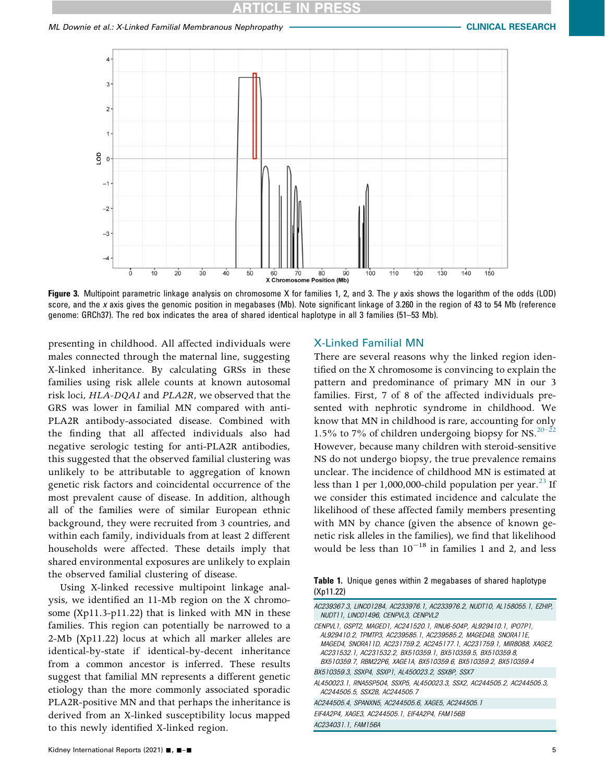# **CLE IN PRI**

<span id="page-4-0"></span>

Figure 3. Multipoint parametric linkage analysis on chromosome X for families 1, 2, and 3. The y axis shows the logarithm of the odds (LOD) score, and the x axis gives the genomic position in megabases (Mb). Note significant linkage of 3.260 in the region of 43 to 54 Mb (reference genome: GRCh37). The red box indicates the area of shared identical haplotype in all 3 families (51–53 Mb).

presenting in childhood. All affected individuals were males connected through the maternal line, suggesting X-linked inheritance. By calculating GRSs in these families using risk allele counts at known autosomal risk loci, HLA-DQA1 and PLA2R, we observed that the GRS was lower in familial MN compared with anti-PLA2R antibody-associated disease. Combined with the finding that all affected individuals also had negative serologic testing for anti-PLA2R antibodies, this suggested that the observed familial clustering was unlikely to be attributable to aggregation of known genetic risk factors and coincidental occurrence of the most prevalent cause of disease. In addition, although all of the families were of similar European ethnic background, they were recruited from 3 countries, and within each family, individuals from at least 2 different households were affected. These details imply that shared environmental exposures are unlikely to explain the observed familial clustering of disease.

Using X-linked recessive multipoint linkage analysis, we identified an 11-Mb region on the X chromosome (Xp11.3-p11.22) that is linked with MN in these families. This region can potentially be narrowed to a 2-Mb (Xp11.22) locus at which all marker alleles are identical-by-state if identical-by-decent inheritance from a common ancestor is inferred. These results suggest that familial MN represents a different genetic etiology than the more commonly associated sporadic PLA2R-positive MN and that perhaps the inheritance is derived from an X-linked susceptibility locus mapped to this newly identified X-linked region.

#### Kidney International Reports (2021)  $\blacksquare$ ,  $\blacksquare$   $\blacksquare$

#### X-Linked Familial MN

There are several reasons why the linked region identified on the X chromosome is convincing to explain the pattern and predominance of primary MN in our 3 families. First, 7 of 8 of the affected individuals presented with nephrotic syndrome in childhood. We know that MN in childhood is rare, accounting for only 1.5% to 7% of children undergoing biopsy for NS. $20-22$ However, because many children with steroid-sensitive NS do not undergo biopsy, the true prevalence remains unclear. The incidence of childhood MN is estimated at less than 1 per 1,000,000-child population per year. $^{23}$  If we consider this estimated incidence and calculate the likelihood of these affected family members presenting with MN by chance (given the absence of known genetic risk alleles in the families), we find that likelihood would be less than  $10^{-18}$  in families 1 and 2, and less

<span id="page-4-1"></span>Table 1. Unique genes within 2 megabases of shared haplotype (Xp11.22)

| AC239367.3, LINCO1284, AC233976.1, AC233976.2, NUDT10, AL158055.1, EZHIP,<br>NUDT11, LINCO1496, CENPVL3, CENPVL2                                                                                                                                                                                                                                |
|-------------------------------------------------------------------------------------------------------------------------------------------------------------------------------------------------------------------------------------------------------------------------------------------------------------------------------------------------|
| CENPVL1. GSPT2, MAGED1, AC241520.1, RNU6-504P, AL929410.1, IPO7P1,<br>AL929410.2, TPMTP3, AC239585.1, AC239585.2, MAGED4B, SNORA11E,<br>MAGED4, SNORA11D, AC231759.2, AC245177.1, AC231759.1, MIR8088, XAGE2,<br>AC231532.1, AC231532.2, BX510359.1, BX510359.5, BX510359.8,<br>BX510359.7, RBM22P6, XAGE1A, BX510359.6, BX510359.2, BX510359.4 |
| BX510359.3, SSXP4, SSXP1, AL450023.2, SSX8P, SSX7                                                                                                                                                                                                                                                                                               |
| AL450023.1, RNA5SP504, SSXP5, AL450023.3, SSX2, AC244505.2, AC244505.3,<br>AC244505.5, SSX2B, AC244505.7                                                                                                                                                                                                                                        |
| AC244505.4, SPANXN5, AC244505.6, XAGE5, AC244505.1                                                                                                                                                                                                                                                                                              |
| EIF4A2P4, XAGE3, AC244505, 1, EIF4A2P4, FAM156B                                                                                                                                                                                                                                                                                                 |
| AC234031.1, FAM156A                                                                                                                                                                                                                                                                                                                             |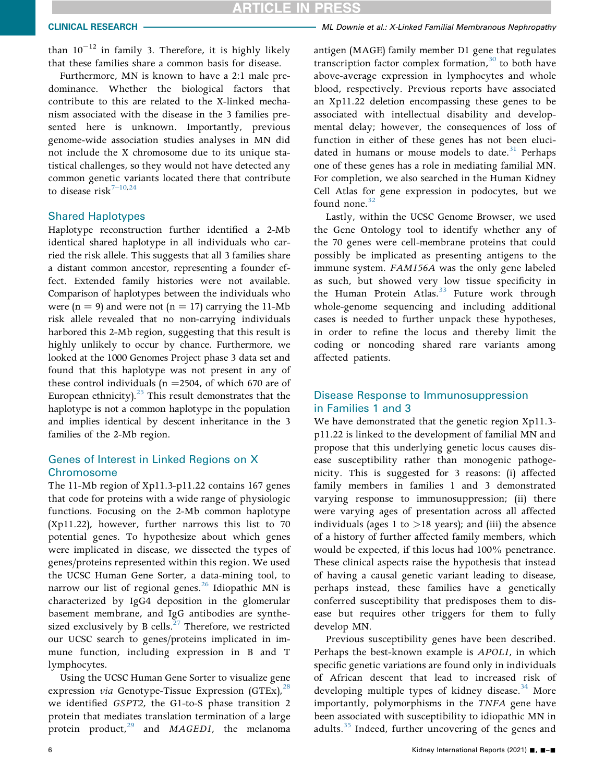# **CLE IN PRESS**

than  $10^{-12}$  in family 3. Therefore, it is highly likely that these families share a common basis for disease.

Furthermore, MN is known to have a 2:1 male predominance. Whether the biological factors that contribute to this are related to the X-linked mechanism associated with the disease in the 3 families presented here is unknown. Importantly, previous genome-wide association studies analyses in MN did not include the X chromosome due to its unique statistical challenges, so they would not have detected any common genetic variants located there that contribute to disease risk<sup>7–[10](#page-6-6),[24](#page-6-18)</sup>

### Shared Haplotypes

Haplotype reconstruction further identified a 2-Mb identical shared haplotype in all individuals who carried the risk allele. This suggests that all 3 families share a distant common ancestor, representing a founder effect. Extended family histories were not available. Comparison of haplotypes between the individuals who were  $(n = 9)$  and were not  $(n = 17)$  carrying the 11-Mb risk allele revealed that no non-carrying individuals harbored this 2-Mb region, suggesting that this result is highly unlikely to occur by chance. Furthermore, we looked at the 1000 Genomes Project phase 3 data set and found that this haplotype was not present in any of these control individuals ( $n = 2504$ , of which 670 are of European ethnicity). $25$  This result demonstrates that the haplotype is not a common haplotype in the population and implies identical by descent inheritance in the 3 families of the 2-Mb region.

# Genes of Interest in Linked Regions on X **Chromosome**

The 11-Mb region of Xp11.3-p11.22 contains 167 genes that code for proteins with a wide range of physiologic functions. Focusing on the 2-Mb common haplotype (Xp11.22), however, further narrows this list to 70 potential genes. To hypothesize about which genes were implicated in disease, we dissected the types of genes/proteins represented within this region. We used the UCSC Human Gene Sorter, a data-mining tool, to narrow our list of regional genes.<sup>[26](#page-6-20)</sup> Idiopathic MN is characterized by IgG4 deposition in the glomerular basement membrane, and IgG antibodies are synthesized exclusively by B cells. $^{27}$  Therefore, we restricted our UCSC search to genes/proteins implicated in immune function, including expression in B and T lymphocytes.

Using the UCSC Human Gene Sorter to visualize gene expression *via* Genotype-Tissue Expression (GTEx),  $^{28}$ we identified GSPT2, the G1-to-S phase transition 2 protein that mediates translation termination of a large protein product, $^{29}$  and MAGED1, the melanoma

# CLINICAL RESEARCH **WE DOWN THE SEARCH MEMORY OF ALL DOWNIE** et al.: X-Linked Familial Membranous Nephropathy

antigen (MAGE) family member D1 gene that regulates transcription factor complex formation, $30$  to both have above-average expression in lymphocytes and whole blood, respectively. Previous reports have associated an Xp11.22 deletion encompassing these genes to be associated with intellectual disability and developmental delay; however, the consequences of loss of function in either of these genes has not been eluci-dated in humans or mouse models to date.<sup>[31](#page-7-3)</sup> Perhaps one of these genes has a role in mediating familial MN. For completion, we also searched in the Human Kidney Cell Atlas for gene expression in podocytes, but we found none. $32$ 

Lastly, within the UCSC Genome Browser, we used the Gene Ontology tool to identify whether any of the 70 genes were cell-membrane proteins that could possibly be implicated as presenting antigens to the immune system. FAM156A was the only gene labeled as such, but showed very low tissue specificity in the Human Protein Atlas.<sup>33</sup> Future work through whole-genome sequencing and including additional cases is needed to further unpack these hypotheses, in order to refine the locus and thereby limit the coding or noncoding shared rare variants among affected patients.

# Disease Response to Immunosuppression in Families 1 and 3

We have demonstrated that the genetic region Xp11.3 p11.22 is linked to the development of familial MN and propose that this underlying genetic locus causes disease susceptibility rather than monogenic pathogenicity. This is suggested for 3 reasons: (i) affected family members in families 1 and 3 demonstrated varying response to immunosuppression; (ii) there were varying ages of presentation across all affected individuals (ages 1 to  $>18$  years); and (iii) the absence of a history of further affected family members, which would be expected, if this locus had 100% penetrance. These clinical aspects raise the hypothesis that instead of having a causal genetic variant leading to disease, perhaps instead, these families have a genetically conferred susceptibility that predisposes them to disease but requires other triggers for them to fully develop MN.

Previous susceptibility genes have been described. Perhaps the best-known example is APOL1, in which specific genetic variations are found only in individuals of African descent that lead to increased risk of developing multiple types of kidney disease. $34$  More importantly, polymorphisms in the TNFA gene have been associated with susceptibility to idiopathic MN in adults.<sup>[35](#page-7-7)</sup> Indeed, further uncovering of the genes and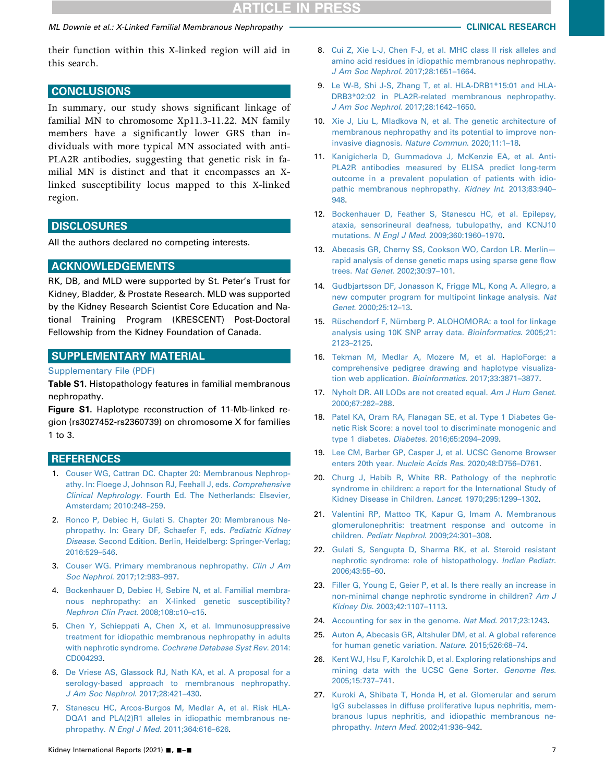# ML Downie et al.: X-Linked Familial Membranous Nephropathy CLINICAL RESEARCH

their function within this X-linked region will aid in this search.

# **CONCLUSIONS**

In summary, our study shows significant linkage of familial MN to chromosome Xp11.3-11.22. MN family members have a significantly lower GRS than individuals with more typical MN associated with anti-PLA2R antibodies, suggesting that genetic risk in familial MN is distinct and that it encompasses an Xlinked susceptibility locus mapped to this X-linked region.

## **DISCLOSURES**

All the authors declared no competing interests.

# ACKNOWLEDGEMENTS

RK, DB, and MLD were supported by St. Peter's Trust for Kidney, Bladder, & Prostate Research. MLD was supported by the Kidney Research Scientist Core Education and National Training Program (KRESCENT) Post-Doctoral Fellowship from the Kidney Foundation of Canada.

# SUPPLEMENTARY MATERIAL

#### [Supplementary File \(PDF\)](https://doi.org/10.1016/j.ekir.2021.02.025)

Table S1. Histopathology features in familial membranous nephropathy.

Figure S1. Haplotype reconstruction of 11-Mb-linked region (rs3027452-rs2360739) on chromosome X for families 1 to 3.

# <span id="page-6-0"></span>**REFERENCES**

- 1. [Couser WG, Cattran DC. Chapter 20: Membranous Nephrop](http://refhub.elsevier.com/S2468-0249(21)00096-6/sref1)[athy. In: Floege J, Johnson RJ, Feehall J, eds.](http://refhub.elsevier.com/S2468-0249(21)00096-6/sref1) Comprehensive Clinical Nephrology[. Fourth Ed. The Netherlands: Elsevier,](http://refhub.elsevier.com/S2468-0249(21)00096-6/sref1) [Amsterdam; 2010:248](http://refhub.elsevier.com/S2468-0249(21)00096-6/sref1)–259.
- <span id="page-6-1"></span>2. [Ronco P, Debiec H, Gulati S. Chapter 20: Membranous Ne](http://refhub.elsevier.com/S2468-0249(21)00096-6/sref2)[phropathy. In: Geary DF, Schaefer F, eds.](http://refhub.elsevier.com/S2468-0249(21)00096-6/sref2) Pediatric Kidney Disease[. Second Edition. Berlin, Heidelberg: Springer-Verlag;](http://refhub.elsevier.com/S2468-0249(21)00096-6/sref2) [2016:529](http://refhub.elsevier.com/S2468-0249(21)00096-6/sref2)–546.
- <span id="page-6-3"></span><span id="page-6-2"></span>3. [Couser WG. Primary membranous nephropathy.](http://refhub.elsevier.com/S2468-0249(21)00096-6/sref3) Clin J Am Soc Nephrol[. 2017;12:983](http://refhub.elsevier.com/S2468-0249(21)00096-6/sref3)–997.
- 4. [Bockenhauer D, Debiec H, Sebire N, et al. Familial membra](http://refhub.elsevier.com/S2468-0249(21)00096-6/sref4)[nous nephropathy: an X-linked genetic susceptibility?](http://refhub.elsevier.com/S2468-0249(21)00096-6/sref4) [Nephron Clin Pract](http://refhub.elsevier.com/S2468-0249(21)00096-6/sref4). 2008;108:c10–c15.
- <span id="page-6-4"></span>5. [Chen Y, Schieppati A, Chen X, et al. Immunosuppressive](http://refhub.elsevier.com/S2468-0249(21)00096-6/sref5) [treatment for idiopathic membranous nephropathy in adults](http://refhub.elsevier.com/S2468-0249(21)00096-6/sref5) with nephrotic syndrome. [Cochrane Database Syst Rev](http://refhub.elsevier.com/S2468-0249(21)00096-6/sref5). 2014: [CD004293.](http://refhub.elsevier.com/S2468-0249(21)00096-6/sref5)
- <span id="page-6-5"></span>6. [De Vriese AS, Glassock RJ, Nath KA, et al. A proposal for a](http://refhub.elsevier.com/S2468-0249(21)00096-6/sref6) [serology-based approach to membranous nephropathy.](http://refhub.elsevier.com/S2468-0249(21)00096-6/sref6) [J Am Soc Nephrol](http://refhub.elsevier.com/S2468-0249(21)00096-6/sref6). 2017;28:421–430.
- <span id="page-6-6"></span>7. [Stanescu HC, Arcos-Burgos M, Medlar A, et al. Risk HLA-](http://refhub.elsevier.com/S2468-0249(21)00096-6/sref7)[DQA1 and PLA\(2\)R1 alleles in idiopathic membranous ne](http://refhub.elsevier.com/S2468-0249(21)00096-6/sref7)phropathy. N Engl J Med[. 2011;364:616](http://refhub.elsevier.com/S2468-0249(21)00096-6/sref7)–626.
- 8. [Cui Z, Xie L-J, Chen F-J, et al. MHC class II risk alleles and](http://refhub.elsevier.com/S2468-0249(21)00096-6/sref8) [amino acid residues in idiopathic membranous nephropathy.](http://refhub.elsevier.com/S2468-0249(21)00096-6/sref8) [J Am Soc Nephrol](http://refhub.elsevier.com/S2468-0249(21)00096-6/sref8). 2017;28:1651–1664.
- 9. [Le W-B, Shi J-S, Zhang T, et al. HLA-DRB1\\*15:01 and HLA-](http://refhub.elsevier.com/S2468-0249(21)00096-6/sref9)[DRB3\\*02:02 in PLA2R-related membranous nephropathy.](http://refhub.elsevier.com/S2468-0249(21)00096-6/sref9) [J Am Soc Nephrol](http://refhub.elsevier.com/S2468-0249(21)00096-6/sref9). 2017;28:1642–1650.
- 10. [Xie J, Liu L, Mladkova N, et al. The genetic architecture of](http://refhub.elsevier.com/S2468-0249(21)00096-6/sref10) [membranous nephropathy and its potential to improve non](http://refhub.elsevier.com/S2468-0249(21)00096-6/sref10)[invasive diagnosis.](http://refhub.elsevier.com/S2468-0249(21)00096-6/sref10) Nature Commun. 2020;11:1–18.
- <span id="page-6-7"></span>11. [Kanigicherla D, Gummadova J, McKenzie EA, et al. Anti-](http://refhub.elsevier.com/S2468-0249(21)00096-6/sref11)[PLA2R antibodies measured by ELISA predict long-term](http://refhub.elsevier.com/S2468-0249(21)00096-6/sref11) [outcome in a prevalent population of patients with idio](http://refhub.elsevier.com/S2468-0249(21)00096-6/sref11)[pathic membranous nephropathy.](http://refhub.elsevier.com/S2468-0249(21)00096-6/sref11) Kidney Int. 2013;83:940– [948](http://refhub.elsevier.com/S2468-0249(21)00096-6/sref11).
- <span id="page-6-8"></span>12. [Bockenhauer D, Feather S, Stanescu HC, et al. Epilepsy,](http://refhub.elsevier.com/S2468-0249(21)00096-6/sref12) [ataxia, sensorineural deafness, tubulopathy, and KCNJ10](http://refhub.elsevier.com/S2468-0249(21)00096-6/sref12) mutations. N Engl J Med[. 2009;360:1960](http://refhub.elsevier.com/S2468-0249(21)00096-6/sref12)–1970.
- <span id="page-6-9"></span>13. [Abecasis GR, Cherny SS, Cookson WO, Cardon LR. Merlin](http://refhub.elsevier.com/S2468-0249(21)00096-6/sref13) [rapid analysis of dense genetic maps using sparse gene](http://refhub.elsevier.com/S2468-0249(21)00096-6/sref13) flow trees. Nat Genet[. 2002;30:97](http://refhub.elsevier.com/S2468-0249(21)00096-6/sref13)–101.
- <span id="page-6-10"></span>14. [Gudbjartsson DF, Jonasson K, Frigge ML, Kong A. Allegro, a](http://refhub.elsevier.com/S2468-0249(21)00096-6/sref14) [new computer program for multipoint linkage analysis.](http://refhub.elsevier.com/S2468-0249(21)00096-6/sref14) Nat Genet[. 2000;25:12](http://refhub.elsevier.com/S2468-0249(21)00096-6/sref14)–13.
- <span id="page-6-11"></span>15. [Rüschendorf F, Nürnberg P. ALOHOMORA: a tool for linkage](http://refhub.elsevier.com/S2468-0249(21)00096-6/sref15) [analysis using 10K SNP array data.](http://refhub.elsevier.com/S2468-0249(21)00096-6/sref15) Bioinformatics. 2005;21: [2123](http://refhub.elsevier.com/S2468-0249(21)00096-6/sref15)–2125.
- <span id="page-6-12"></span>16. [Tekman M, Medlar A, Mozere M, et al. HaploForge: a](http://refhub.elsevier.com/S2468-0249(21)00096-6/sref16) [comprehensive pedigree drawing and haplotype visualiza](http://refhub.elsevier.com/S2468-0249(21)00096-6/sref16)[tion web application.](http://refhub.elsevier.com/S2468-0249(21)00096-6/sref16) Bioinformatics. 2017;33:3871–3877.
- <span id="page-6-13"></span>17. [Nyholt DR. All LODs are not created equal.](http://refhub.elsevier.com/S2468-0249(21)00096-6/sref17) Am J Hum Genet. [2000;67:282](http://refhub.elsevier.com/S2468-0249(21)00096-6/sref17)–288.
- <span id="page-6-14"></span>18. [Patel KA, Oram RA, Flanagan SE, et al. Type 1 Diabetes Ge](http://refhub.elsevier.com/S2468-0249(21)00096-6/sref18)[netic Risk Score: a novel tool to discriminate monogenic and](http://refhub.elsevier.com/S2468-0249(21)00096-6/sref18) [type 1 diabetes.](http://refhub.elsevier.com/S2468-0249(21)00096-6/sref18) Diabetes. 2016;65:2094–2099.
- <span id="page-6-15"></span>19. [Lee CM, Barber GP, Casper J, et al. UCSC Genome Browser](http://refhub.elsevier.com/S2468-0249(21)00096-6/sref19) enters 20th year. [Nucleic Acids Res](http://refhub.elsevier.com/S2468-0249(21)00096-6/sref19). 2020;48:D756–D761.
- <span id="page-6-16"></span>20. [Churg J, Habib R, White RR. Pathology of the nephrotic](http://refhub.elsevier.com/S2468-0249(21)00096-6/sref20) [syndrome in children: a report for the International Study of](http://refhub.elsevier.com/S2468-0249(21)00096-6/sref20) [Kidney Disease in Children.](http://refhub.elsevier.com/S2468-0249(21)00096-6/sref20) Lancet. 1970;295:1299–1302.
- 21. [Valentini RP, Mattoo TK, Kapur G, Imam A. Membranous](http://refhub.elsevier.com/S2468-0249(21)00096-6/sref21) [glomerulonephritis: treatment response and outcome in](http://refhub.elsevier.com/S2468-0249(21)00096-6/sref21) children. [Pediatr Nephrol](http://refhub.elsevier.com/S2468-0249(21)00096-6/sref21). 2009;24:301–308.
- 22. [Gulati S, Sengupta D, Sharma RK, et al. Steroid resistant](http://refhub.elsevier.com/S2468-0249(21)00096-6/sref22) [nephrotic syndrome: role of histopathology.](http://refhub.elsevier.com/S2468-0249(21)00096-6/sref22) Indian Pediatr. [2006;43:55](http://refhub.elsevier.com/S2468-0249(21)00096-6/sref22)–60.
- <span id="page-6-17"></span>23. [Filler G, Young E, Geier P, et al. Is there really an increase in](http://refhub.elsevier.com/S2468-0249(21)00096-6/sref23) [non-minimal change nephrotic syndrome in children?](http://refhub.elsevier.com/S2468-0249(21)00096-6/sref23) Am J Kidney Dis[. 2003;42:1107](http://refhub.elsevier.com/S2468-0249(21)00096-6/sref23)–1113.
- <span id="page-6-19"></span><span id="page-6-18"></span>24. [Accounting for sex in the genome.](http://refhub.elsevier.com/S2468-0249(21)00096-6/sref24) Nat Med. 2017;23:1243.
- 25. [Auton A, Abecasis GR, Altshuler DM, et al. A global reference](http://refhub.elsevier.com/S2468-0249(21)00096-6/sref25) [for human genetic variation.](http://refhub.elsevier.com/S2468-0249(21)00096-6/sref25) Nature. 2015;526:68–74.
- <span id="page-6-20"></span>26. [Kent WJ, Hsu F, Karolchik D, et al. Exploring relationships and](http://refhub.elsevier.com/S2468-0249(21)00096-6/sref26) [mining data with the UCSC Gene Sorter.](http://refhub.elsevier.com/S2468-0249(21)00096-6/sref26) Genome Res. [2005;15:737](http://refhub.elsevier.com/S2468-0249(21)00096-6/sref26)–741.
- <span id="page-6-21"></span>27. [Kuroki A, Shibata T, Honda H, et al. Glomerular and serum](http://refhub.elsevier.com/S2468-0249(21)00096-6/sref27) [IgG subclasses in diffuse proliferative lupus nephritis, mem](http://refhub.elsevier.com/S2468-0249(21)00096-6/sref27)[branous lupus nephritis, and idiopathic membranous ne](http://refhub.elsevier.com/S2468-0249(21)00096-6/sref27)phropathy. Intern Med[. 2002;41:936](http://refhub.elsevier.com/S2468-0249(21)00096-6/sref27)–942.